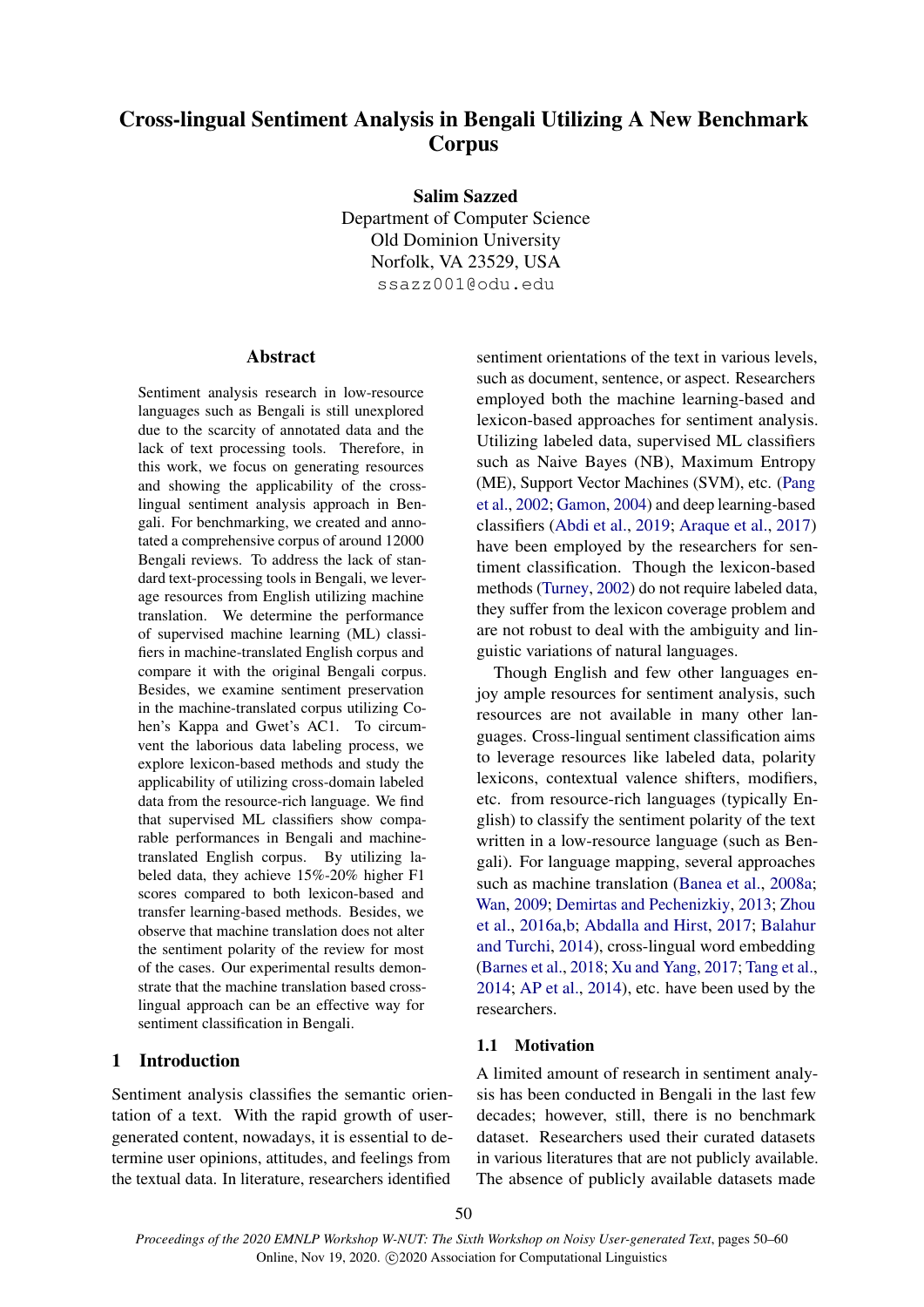# Cross-lingual Sentiment Analysis in Bengali Utilizing A New Benchmark Corpus

Salim Sazzed

Department of Computer Science Old Dominion University Norfolk, VA 23529, USA ssazz001@odu.edu

## **Abstract**

Sentiment analysis research in low-resource languages such as Bengali is still unexplored due to the scarcity of annotated data and the lack of text processing tools. Therefore, in this work, we focus on generating resources and showing the applicability of the crosslingual sentiment analysis approach in Bengali. For benchmarking, we created and annotated a comprehensive corpus of around 12000 Bengali reviews. To address the lack of standard text-processing tools in Bengali, we leverage resources from English utilizing machine translation. We determine the performance of supervised machine learning (ML) classifiers in machine-translated English corpus and compare it with the original Bengali corpus. Besides, we examine sentiment preservation in the machine-translated corpus utilizing Cohen's Kappa and Gwet's AC1. To circumvent the laborious data labeling process, we explore lexicon-based methods and study the applicability of utilizing cross-domain labeled data from the resource-rich language. We find that supervised ML classifiers show comparable performances in Bengali and machinetranslated English corpus. By utilizing labeled data, they achieve 15%-20% higher F1 scores compared to both lexicon-based and transfer learning-based methods. Besides, we observe that machine translation does not alter the sentiment polarity of the review for most of the cases. Our experimental results demonstrate that the machine translation based crosslingual approach can be an effective way for sentiment classification in Bengali.

## 1 Introduction

Sentiment analysis classifies the semantic orientation of a text. With the rapid growth of usergenerated content, nowadays, it is essential to determine user opinions, attitudes, and feelings from the textual data. In literature, researchers identified

sentiment orientations of the text in various levels, such as document, sentence, or aspect. Researchers employed both the machine learning-based and lexicon-based approaches for sentiment analysis. Utilizing labeled data, supervised ML classifiers such as Naive Bayes (NB), Maximum Entropy (ME), Support Vector Machines (SVM), etc. [\(Pang](#page-9-0) [et al.,](#page-9-0) [2002;](#page-9-0) [Gamon,](#page-9-1) [2004\)](#page-9-1) and deep learning-based classifiers [\(Abdi et al.,](#page-8-0) [2019;](#page-8-0) [Araque et al.,](#page-8-1) [2017\)](#page-8-1) have been employed by the researchers for sentiment classification. Though the lexicon-based methods [\(Turney,](#page-10-0) [2002\)](#page-10-0) do not require labeled data, they suffer from the lexicon coverage problem and are not robust to deal with the ambiguity and linguistic variations of natural languages.

Though English and few other languages enjoy ample resources for sentiment analysis, such resources are not available in many other languages. Cross-lingual sentiment classification aims to leverage resources like labeled data, polarity lexicons, contextual valence shifters, modifiers, etc. from resource-rich languages (typically English) to classify the sentiment polarity of the text written in a low-resource language (such as Bengali). For language mapping, several approaches such as machine translation [\(Banea et al.,](#page-8-2) [2008a;](#page-8-2) [Wan,](#page-10-1) [2009;](#page-10-1) [Demirtas and Pechenizkiy,](#page-9-2) [2013;](#page-9-2) [Zhou](#page-10-2) [et al.,](#page-10-2) [2016a](#page-10-2)[,b;](#page-10-3) [Abdalla and Hirst,](#page-8-3) [2017;](#page-8-3) [Balahur](#page-8-4) [and Turchi,](#page-8-4) [2014\)](#page-8-4), cross-lingual word embedding [\(Barnes et al.,](#page-8-5) [2018;](#page-8-5) [Xu and Yang,](#page-10-4) [2017;](#page-10-4) [Tang et al.,](#page-9-3) [2014;](#page-9-3) [AP et al.,](#page-8-6) [2014\)](#page-8-6), etc. have been used by the researchers.

### 1.1 Motivation

A limited amount of research in sentiment analysis has been conducted in Bengali in the last few decades; however, still, there is no benchmark dataset. Researchers used their curated datasets in various literatures that are not publicly available. The absence of publicly available datasets made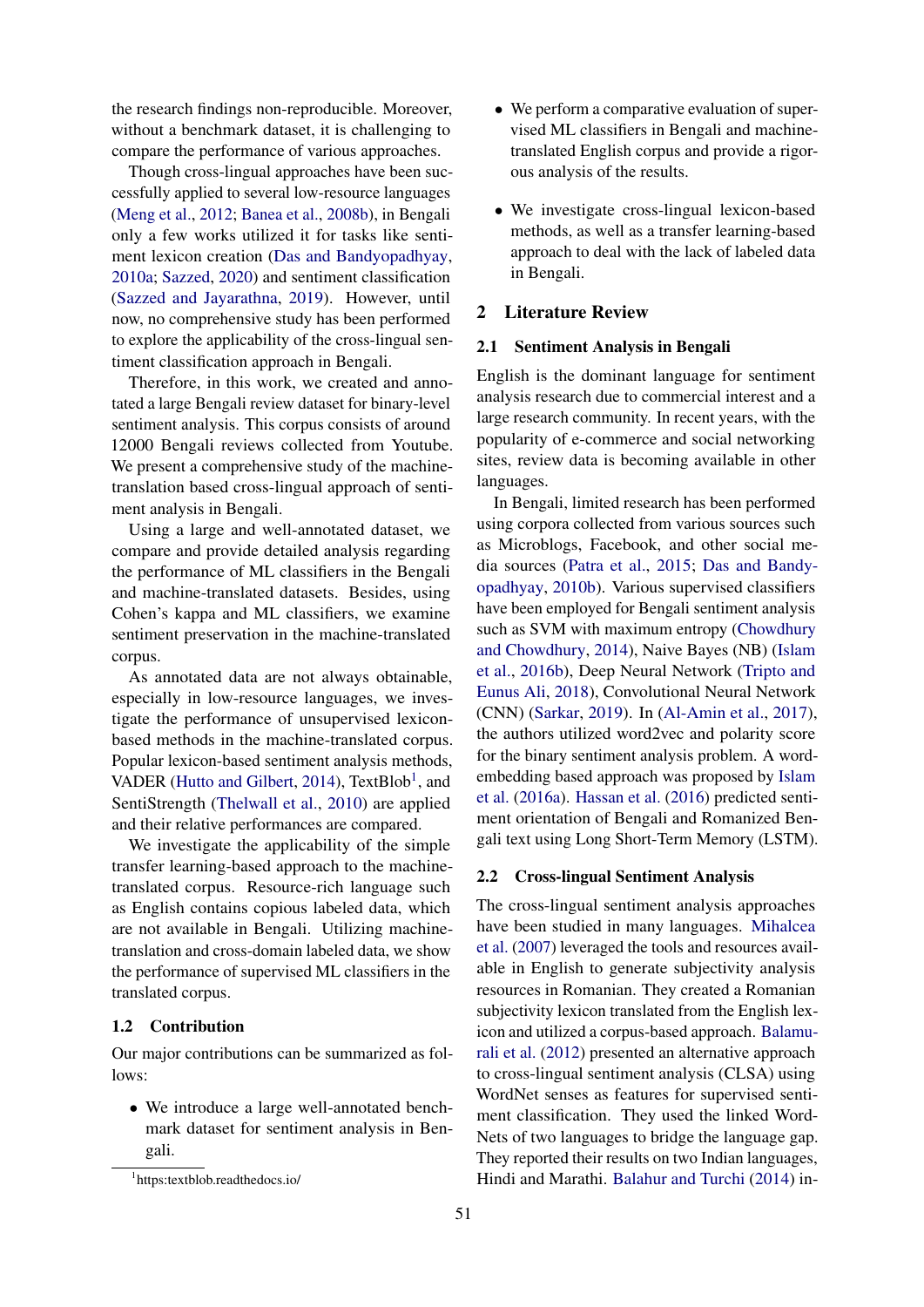the research findings non-reproducible. Moreover, without a benchmark dataset, it is challenging to compare the performance of various approaches.

Though cross-lingual approaches have been successfully applied to several low-resource languages [\(Meng et al.,](#page-9-4) [2012;](#page-9-4) [Banea et al.,](#page-8-7) [2008b\)](#page-8-7), in Bengali only a few works utilized it for tasks like sentiment lexicon creation [\(Das and Bandyopadhyay,](#page-8-8) [2010a;](#page-8-8) [Sazzed,](#page-9-5) [2020\)](#page-9-5) and sentiment classification [\(Sazzed and Jayarathna,](#page-9-6) [2019\)](#page-9-6). However, until now, no comprehensive study has been performed to explore the applicability of the cross-lingual sentiment classification approach in Bengali.

Therefore, in this work, we created and annotated a large Bengali review dataset for binary-level sentiment analysis. This corpus consists of around 12000 Bengali reviews collected from Youtube. We present a comprehensive study of the machinetranslation based cross-lingual approach of sentiment analysis in Bengali.

Using a large and well-annotated dataset, we compare and provide detailed analysis regarding the performance of ML classifiers in the Bengali and machine-translated datasets. Besides, using Cohen's kappa and ML classifiers, we examine sentiment preservation in the machine-translated corpus.

As annotated data are not always obtainable, especially in low-resource languages, we investigate the performance of unsupervised lexiconbased methods in the machine-translated corpus. Popular lexicon-based sentiment analysis methods, VADER [\(Hutto and Gilbert,](#page-9-7) [2014\)](#page-9-7), TextBlob<sup>[1](#page-1-0)</sup>, and SentiStrength [\(Thelwall et al.,](#page-10-5) [2010\)](#page-10-5) are applied and their relative performances are compared.

We investigate the applicability of the simple transfer learning-based approach to the machinetranslated corpus. Resource-rich language such as English contains copious labeled data, which are not available in Bengali. Utilizing machinetranslation and cross-domain labeled data, we show the performance of supervised ML classifiers in the translated corpus.

## 1.2 Contribution

Our major contributions can be summarized as follows:

• We introduce a large well-annotated benchmark dataset for sentiment analysis in Bengali.

- We perform a comparative evaluation of supervised ML classifiers in Bengali and machinetranslated English corpus and provide a rigorous analysis of the results.
- We investigate cross-lingual lexicon-based methods, as well as a transfer learning-based approach to deal with the lack of labeled data in Bengali.

#### 2 Literature Review

#### 2.1 Sentiment Analysis in Bengali

English is the dominant language for sentiment analysis research due to commercial interest and a large research community. In recent years, with the popularity of e-commerce and social networking sites, review data is becoming available in other languages.

In Bengali, limited research has been performed using corpora collected from various sources such as Microblogs, Facebook, and other social media sources [\(Patra et al.,](#page-9-8) [2015;](#page-9-8) [Das and Bandy](#page-9-9)[opadhyay,](#page-9-9) [2010b\)](#page-9-9). Various supervised classifiers have been employed for Bengali sentiment analysis such as SVM with maximum entropy [\(Chowdhury](#page-8-9) [and Chowdhury,](#page-8-9) [2014\)](#page-8-9), Naive Bayes (NB) [\(Islam](#page-9-10) [et al.,](#page-9-10) [2016b\)](#page-9-10), Deep Neural Network [\(Tripto and](#page-10-6) [Eunus Ali,](#page-10-6) [2018\)](#page-10-6), Convolutional Neural Network (CNN) [\(Sarkar,](#page-9-11) [2019\)](#page-9-11). In [\(Al-Amin et al.,](#page-8-10) [2017\)](#page-8-10), the authors utilized word2vec and polarity score for the binary sentiment analysis problem. A wordembedding based approach was proposed by [Islam](#page-9-12) [et al.](#page-9-12) [\(2016a\)](#page-9-12). [Hassan et al.](#page-9-13) [\(2016\)](#page-9-13) predicted sentiment orientation of Bengali and Romanized Bengali text using Long Short-Term Memory (LSTM).

### 2.2 Cross-lingual Sentiment Analysis

The cross-lingual sentiment analysis approaches have been studied in many languages. [Mihalcea](#page-9-14) [et al.](#page-9-14) [\(2007\)](#page-9-14) leveraged the tools and resources available in English to generate subjectivity analysis resources in Romanian. They created a Romanian subjectivity lexicon translated from the English lexicon and utilized a corpus-based approach. [Balamu](#page-8-11)[rali et al.](#page-8-11) [\(2012\)](#page-8-11) presented an alternative approach to cross-lingual sentiment analysis (CLSA) using WordNet senses as features for supervised sentiment classification. They used the linked Word-Nets of two languages to bridge the language gap. They reported their results on two Indian languages, Hindi and Marathi. [Balahur and Turchi](#page-8-4) [\(2014\)](#page-8-4) in-

<span id="page-1-0"></span><sup>1</sup> https:textblob.readthedocs.io/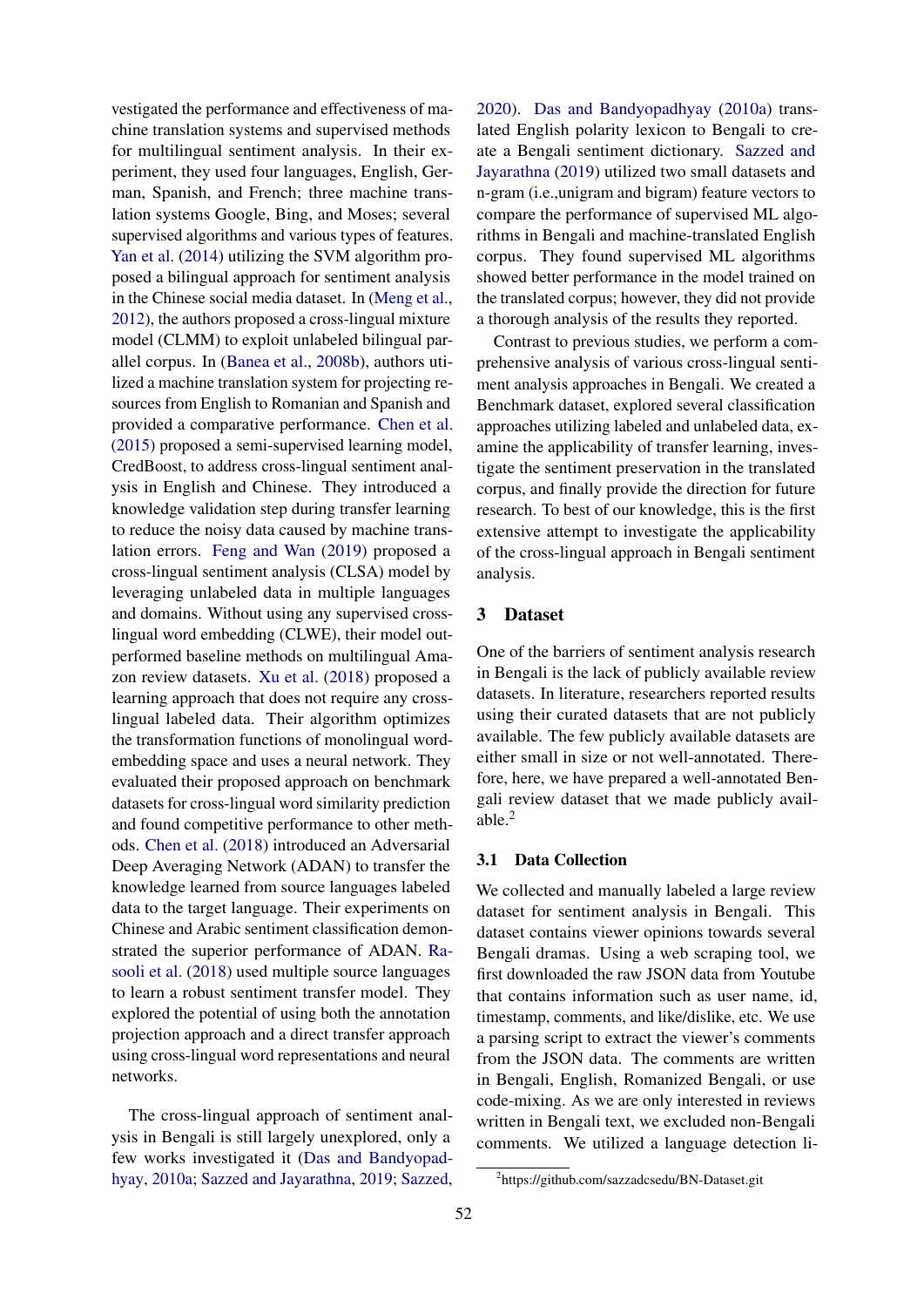vestigated the performance and effectiveness of machine translation systems and supervised methods for multilingual sentiment analysis. In their experiment, they used four languages, English, German, Spanish, and French; three machine translation systems Google, Bing, and Moses; several supervised algorithms and various types of features. [Yan et al.](#page-10-7) [\(2014\)](#page-10-7) utilizing the SVM algorithm proposed a bilingual approach for sentiment analysis in the Chinese social media dataset. In [\(Meng et al.,](#page-9-4) [2012\)](#page-9-4), the authors proposed a cross-lingual mixture model (CLMM) to exploit unlabeled bilingual parallel corpus. In [\(Banea et al.,](#page-8-7) [2008b\)](#page-8-7), authors utilized a machine translation system for projecting resources from English to Romanian and Spanish and provided a comparative performance. [Chen et al.](#page-8-12) [\(2015\)](#page-8-12) proposed a semi-supervised learning model, CredBoost, to address cross-lingual sentiment analysis in English and Chinese. They introduced a knowledge validation step during transfer learning to reduce the noisy data caused by machine translation errors. [Feng and Wan](#page-9-15) [\(2019\)](#page-9-15) proposed a cross-lingual sentiment analysis (CLSA) model by leveraging unlabeled data in multiple languages and domains. Without using any supervised crosslingual word embedding (CLWE), their model outperformed baseline methods on multilingual Amazon review datasets. [Xu et al.](#page-10-8) [\(2018\)](#page-10-8) proposed a learning approach that does not require any crosslingual labeled data. Their algorithm optimizes the transformation functions of monolingual wordembedding space and uses a neural network. They evaluated their proposed approach on benchmark datasets for cross-lingual word similarity prediction and found competitive performance to other methods. [Chen et al.](#page-8-13) [\(2018\)](#page-8-13) introduced an Adversarial Deep Averaging Network (ADAN) to transfer the knowledge learned from source languages labeled data to the target language. Their experiments on Chinese and Arabic sentiment classification demonstrated the superior performance of ADAN. [Ra](#page-9-16)[sooli et al.](#page-9-16) [\(2018\)](#page-9-16) used multiple source languages to learn a robust sentiment transfer model. They explored the potential of using both the annotation projection approach and a direct transfer approach using cross-lingual word representations and neural networks.

The cross-lingual approach of sentiment analysis in Bengali is still largely unexplored, only a few works investigated it [\(Das and Bandyopad](#page-8-8)[hyay,](#page-8-8) [2010a;](#page-8-8) [Sazzed and Jayarathna,](#page-9-6) [2019;](#page-9-6) [Sazzed,](#page-9-5)

[2020\)](#page-9-5). [Das and Bandyopadhyay](#page-8-8) [\(2010a\)](#page-8-8) translated English polarity lexicon to Bengali to create a Bengali sentiment dictionary. [Sazzed and](#page-9-6) [Jayarathna](#page-9-6) [\(2019\)](#page-9-6) utilized two small datasets and n-gram (i.e.,unigram and bigram) feature vectors to compare the performance of supervised ML algorithms in Bengali and machine-translated English corpus. They found supervised ML algorithms showed better performance in the model trained on the translated corpus; however, they did not provide a thorough analysis of the results they reported.

Contrast to previous studies, we perform a comprehensive analysis of various cross-lingual sentiment analysis approaches in Bengali. We created a Benchmark dataset, explored several classification approaches utilizing labeled and unlabeled data, examine the applicability of transfer learning, investigate the sentiment preservation in the translated corpus, and finally provide the direction for future research. To best of our knowledge, this is the first extensive attempt to investigate the applicability of the cross-lingual approach in Bengali sentiment analysis.

## 3 Dataset

One of the barriers of sentiment analysis research in Bengali is the lack of publicly available review datasets. In literature, researchers reported results using their curated datasets that are not publicly available. The few publicly available datasets are either small in size or not well-annotated. Therefore, here, we have prepared a well-annotated Bengali review dataset that we made publicly available. $<sup>2</sup>$  $<sup>2</sup>$  $<sup>2</sup>$ </sup>

### 3.1 Data Collection

We collected and manually labeled a large review dataset for sentiment analysis in Bengali. This dataset contains viewer opinions towards several Bengali dramas. Using a web scraping tool, we first downloaded the raw JSON data from Youtube that contains information such as user name, id, timestamp, comments, and like/dislike, etc. We use a parsing script to extract the viewer's comments from the JSON data. The comments are written in Bengali, English, Romanized Bengali, or use code-mixing. As we are only interested in reviews written in Bengali text, we excluded non-Bengali comments. We utilized a language detection li-

<span id="page-2-0"></span><sup>2</sup> https://github.com/sazzadcsedu/BN-Dataset.git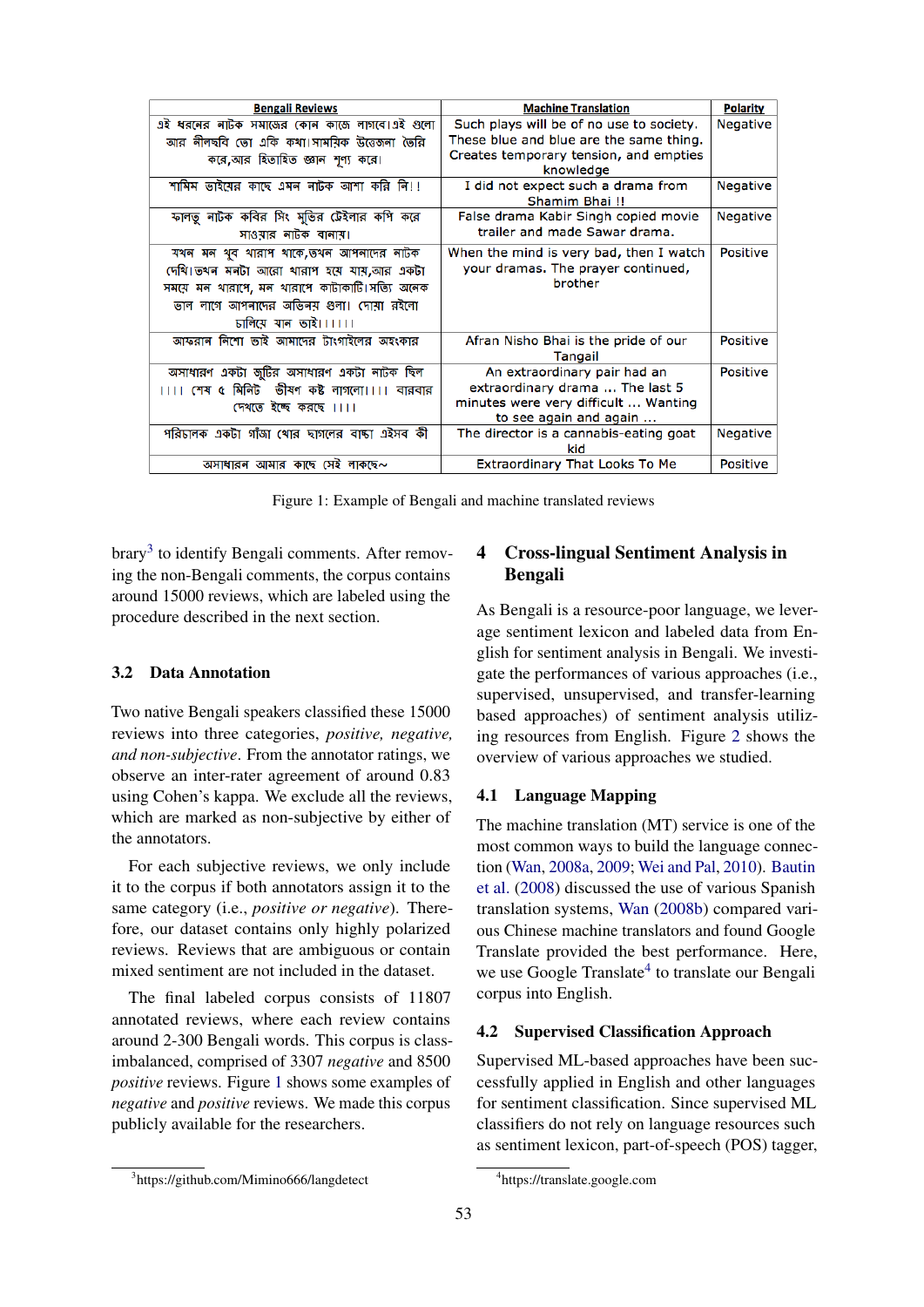<span id="page-3-1"></span>

| <b>Bengali Reviews</b>                         | <b>Machine Translation</b>                           | <b>Polarity</b> |
|------------------------------------------------|------------------------------------------------------|-----------------|
| এই ধরনের নাটক সমাজের কোন কাজে লাগবে।এই গুলো    | Such plays will be of no use to society.             | <b>Negative</b> |
| আর নীলছবি তো একি কথা।সাময়িক উত্তেজনা তৈরি     | These blue and blue are the same thing.              |                 |
| করে,আর হিতাহিত জ্ঞান শূণ্য করে।                | Creates temporary tension, and empties<br>knowledge  |                 |
| শামিম ভাইমের কাছে এমন নাটক আশা করি নি!!        | I did not expect such a drama from<br>Shamim Bhai !! | <b>Negative</b> |
| ফালতু নাটক কবির সিং মুভির টেইলার কপি করে       | False drama Kabir Singh copied movie                 | <b>Negative</b> |
| সাওয়ার নাটক বানায়।                           | trailer and made Sawar drama.                        |                 |
| যথন মন থুব থারাপ থাকে,তথন আপনাদের নাটক         | When the mind is very bad, then I watch              | <b>Positive</b> |
| দেখি।তথন মনটা আরো থারাপ হয়ে যায়,আর একটা      | your dramas. The prayer continued,                   |                 |
| সময়ে মন থারাপে, মন থারাপে কাটাকাটি।সত্যি অনেক | brother                                              |                 |
| ভাল লাগে আপনাদের অভিনয় গুলা। দোয়া রইলো       |                                                      |                 |
| जनित्य यान छाই।।।।।।                           |                                                      |                 |
| আফরান নিশো ভাই আমাদের টাংগাইলের অহংকার         | Afran Nisho Bhai is the pride of our                 | <b>Positive</b> |
|                                                | Tangail                                              |                 |
| অসাধারণ একটা জুটির অসাধারণ একটা নাটক ছিল       | An extraordinary pair had an                         | <b>Positive</b> |
| ।।।। শেষ ৫ মিনিট  ভীষণ কষ্ট লাগলো।।।। বারবার   | extraordinary drama  The last 5                      |                 |
| দেখতে ইচ্ছে করছে ।।।।                          | minutes were very difficult  Wanting                 |                 |
|                                                | to see again and again                               |                 |
| পরিচালক একটা গাঁজা থোর ছাগলের বাচ্চা এইসব কী   | The director is a cannabis-eating goat<br>kid        | <b>Negative</b> |
| অসাধারন আমার কাছে সেই লাকছে~                   | <b>Extraordinary That Looks To Me</b>                | <b>Positive</b> |
|                                                |                                                      |                 |

Figure 1: Example of Bengali and machine translated reviews

brary<sup>[3](#page-3-0)</sup> to identify Bengali comments. After removing the non-Bengali comments, the corpus contains around 15000 reviews, which are labeled using the procedure described in the next section.

### 3.2 Data Annotation

Two native Bengali speakers classified these 15000 reviews into three categories, *positive, negative, and non-subjective*. From the annotator ratings, we observe an inter-rater agreement of around 0.83 using Cohen's kappa. We exclude all the reviews, which are marked as non-subjective by either of the annotators.

For each subjective reviews, we only include it to the corpus if both annotators assign it to the same category (i.e., *positive or negative*). Therefore, our dataset contains only highly polarized reviews. Reviews that are ambiguous or contain mixed sentiment are not included in the dataset.

The final labeled corpus consists of 11807 annotated reviews, where each review contains around 2-300 Bengali words. This corpus is classimbalanced, comprised of 3307 *negative* and 8500 *positive* reviews. Figure [1](#page-3-1) shows some examples of *negative* and *positive* reviews. We made this corpus publicly available for the researchers.

## 4 Cross-lingual Sentiment Analysis in Bengali

As Bengali is a resource-poor language, we leverage sentiment lexicon and labeled data from English for sentiment analysis in Bengali. We investigate the performances of various approaches (i.e., supervised, unsupervised, and transfer-learning based approaches) of sentiment analysis utilizing resources from English. Figure [2](#page-4-0) shows the overview of various approaches we studied.

## 4.1 Language Mapping

The machine translation (MT) service is one of the most common ways to build the language connection [\(Wan,](#page-10-9) [2008a,](#page-10-9) [2009;](#page-10-1) [Wei and Pal,](#page-10-10) [2010\)](#page-10-10). [Bautin](#page-8-14) [et al.](#page-8-14) [\(2008\)](#page-8-14) discussed the use of various Spanish translation systems, [Wan](#page-10-11) [\(2008b\)](#page-10-11) compared various Chinese machine translators and found Google Translate provided the best performance. Here, we use Google Translate<sup>[4](#page-3-2)</sup> to translate our Bengali corpus into English.

## 4.2 Supervised Classification Approach

Supervised ML-based approaches have been successfully applied in English and other languages for sentiment classification. Since supervised ML classifiers do not rely on language resources such as sentiment lexicon, part-of-speech (POS) tagger,

<span id="page-3-0"></span><sup>3</sup> https://github.com/Mimino666/langdetect

<span id="page-3-2"></span><sup>4</sup> https://translate.google.com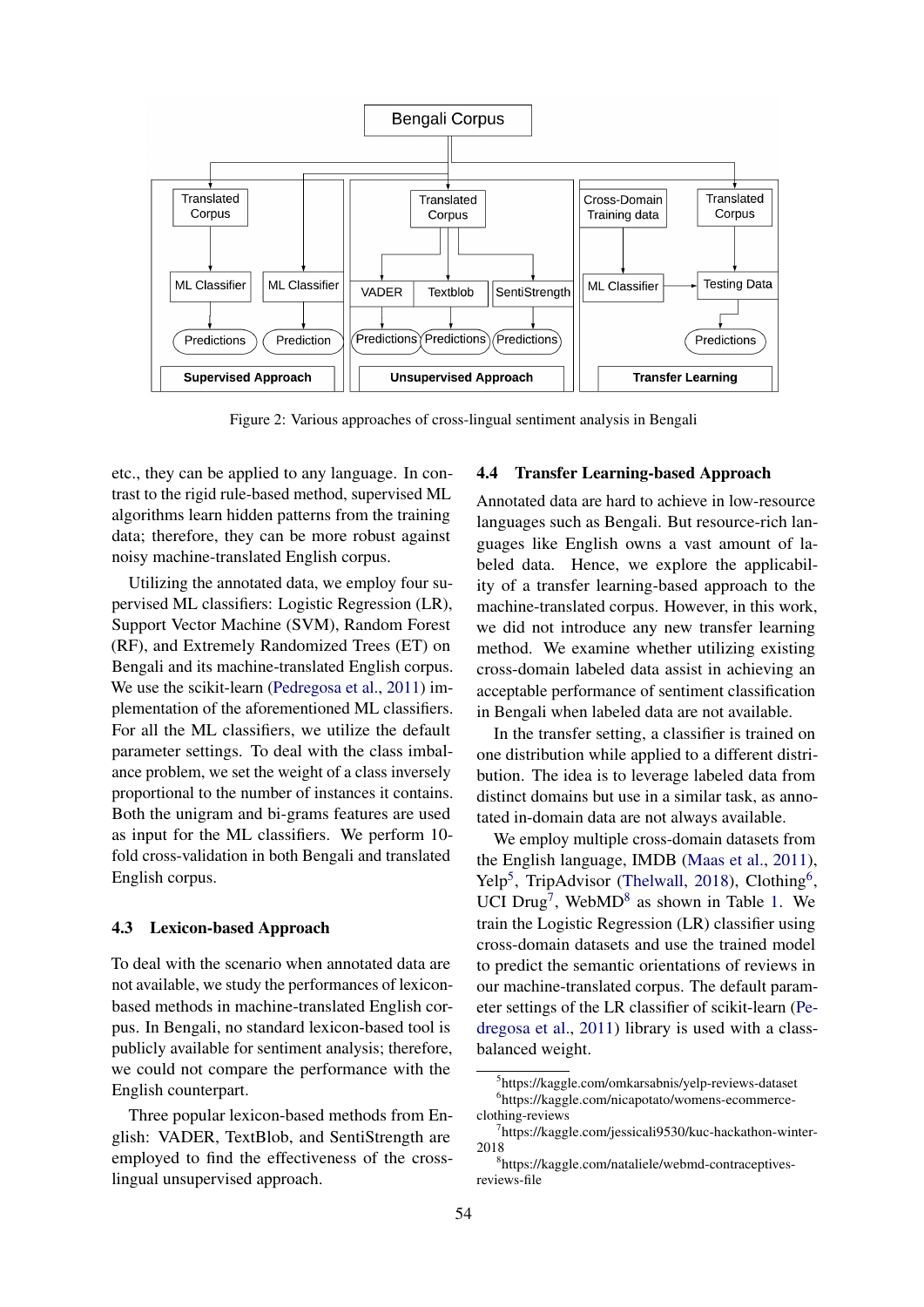<span id="page-4-0"></span>

Figure 2: Various approaches of cross-lingual sentiment analysis in Bengali

etc., they can be applied to any language. In contrast to the rigid rule-based method, supervised ML algorithms learn hidden patterns from the training data; therefore, they can be more robust against noisy machine-translated English corpus.

Utilizing the annotated data, we employ four supervised ML classifiers: Logistic Regression (LR), Support Vector Machine (SVM), Random Forest (RF), and Extremely Randomized Trees (ET) on Bengali and its machine-translated English corpus. We use the scikit-learn [\(Pedregosa et al.,](#page-9-17) [2011\)](#page-9-17) implementation of the aforementioned ML classifiers. For all the ML classifiers, we utilize the default parameter settings. To deal with the class imbalance problem, we set the weight of a class inversely proportional to the number of instances it contains. Both the unigram and bi-grams features are used as input for the ML classifiers. We perform 10 fold cross-validation in both Bengali and translated English corpus.

### 4.3 Lexicon-based Approach

To deal with the scenario when annotated data are not available, we study the performances of lexiconbased methods in machine-translated English corpus. In Bengali, no standard lexicon-based tool is publicly available for sentiment analysis; therefore, we could not compare the performance with the English counterpart.

Three popular lexicon-based methods from English: VADER, TextBlob, and SentiStrength are employed to find the effectiveness of the crosslingual unsupervised approach.

### 4.4 Transfer Learning-based Approach

Annotated data are hard to achieve in low-resource languages such as Bengali. But resource-rich languages like English owns a vast amount of labeled data. Hence, we explore the applicability of a transfer learning-based approach to the machine-translated corpus. However, in this work, we did not introduce any new transfer learning method. We examine whether utilizing existing cross-domain labeled data assist in achieving an acceptable performance of sentiment classification in Bengali when labeled data are not available.

In the transfer setting, a classifier is trained on one distribution while applied to a different distribution. The idea is to leverage labeled data from distinct domains but use in a similar task, as annotated in-domain data are not always available.

We employ multiple cross-domain datasets from the English language, IMDB [\(Maas et al.,](#page-9-18) [2011\)](#page-9-18), Yelp<sup>[5](#page-4-1)</sup>, TripAdvisor [\(Thelwall,](#page-9-19) [2018\)](#page-9-19), Clothing<sup>[6](#page-4-2)</sup>, UCI Drug<sup>[7](#page-4-3)</sup>, WebMD<sup>[8](#page-4-4)</sup> as shown in Table [1.](#page-5-0) We train the Logistic Regression (LR) classifier using cross-domain datasets and use the trained model to predict the semantic orientations of reviews in our machine-translated corpus. The default parameter settings of the LR classifier of scikit-learn [\(Pe](#page-9-17)[dregosa et al.,](#page-9-17) [2011\)](#page-9-17) library is used with a classbalanced weight.

<span id="page-4-2"></span><span id="page-4-1"></span><sup>5</sup> https://kaggle.com/omkarsabnis/yelp-reviews-dataset 6 https://kaggle.com/nicapotato/womens-ecommerceclothing-reviews

<span id="page-4-3"></span><sup>7</sup> https://kaggle.com/jessicali9530/kuc-hackathon-winter-2018

<span id="page-4-4"></span><sup>8</sup> https://kaggle.com/nataliele/webmd-contraceptivesreviews-file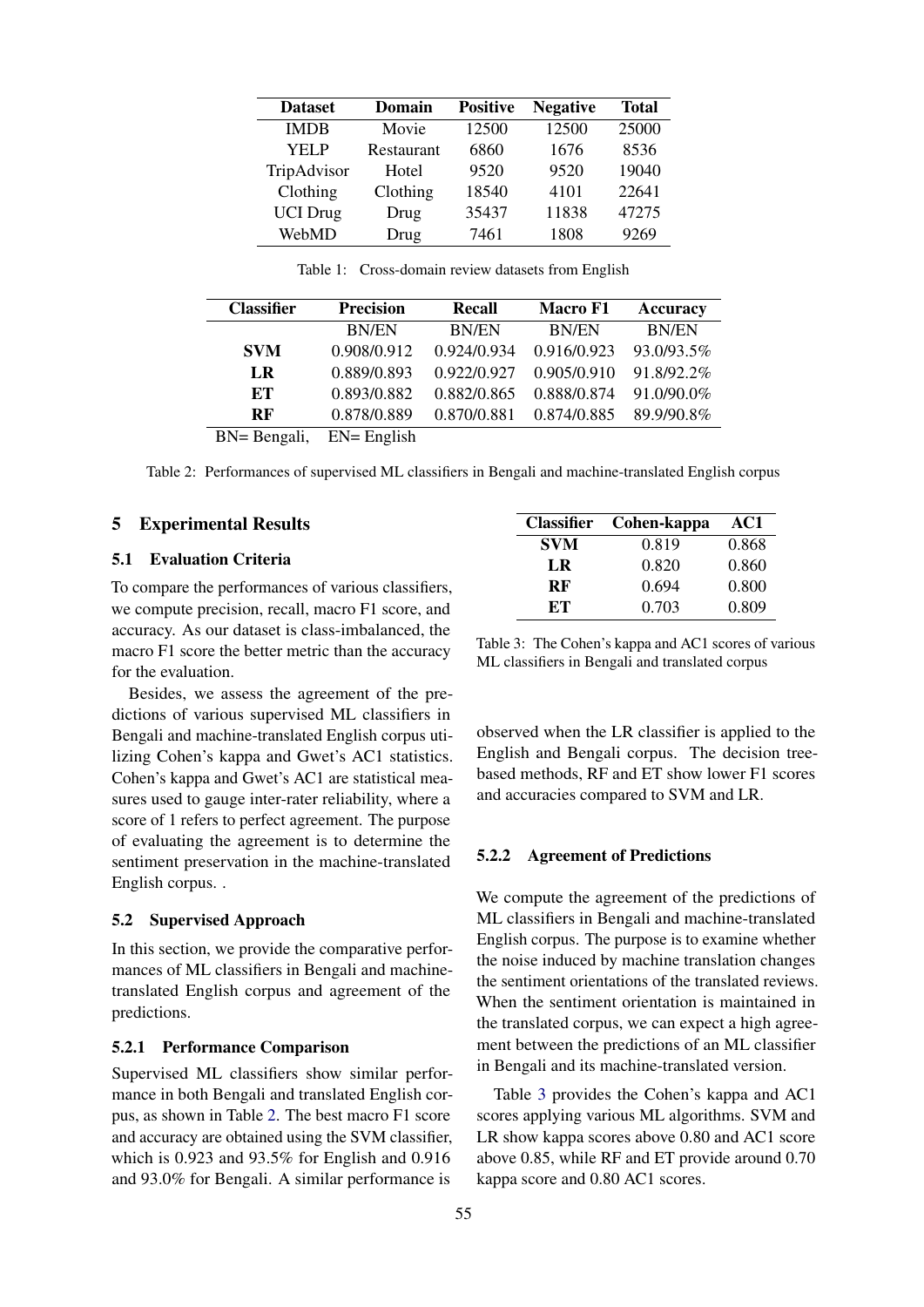<span id="page-5-0"></span>

| <b>Dataset</b>  | Domain     | <b>Positive</b> | <b>Negative</b> | <b>Total</b> |
|-----------------|------------|-----------------|-----------------|--------------|
| <b>IMDB</b>     | Movie      | 12500           | 12500           | 25000        |
| YEL P           | Restaurant | 6860            | 1676            | 8536         |
| TripAdvisor     | Hotel      | 9520            | 9520            | 19040        |
| Clothing        | Clothing   | 18540           | 4101            | 22641        |
| <b>UCI</b> Drug | Drug       | 35437           | 11838           | 47275        |
| WebMD           | Drug       | 7461            | 1808            | 9269         |

Table 1: Cross-domain review datasets from English

<span id="page-5-1"></span>

| <b>Classifier</b> | <b>Precision</b> | <b>Recall</b> | <b>Macro F1</b> | <b>Accuracy</b> |  |
|-------------------|------------------|---------------|-----------------|-----------------|--|
|                   | <b>BN/EN</b>     | <b>BN/EN</b>  | <b>BN/EN</b>    | <b>BN/EN</b>    |  |
| <b>SVM</b>        | 0.908/0.912      | 0.924/0.934   | 0.916/0.923     | 93.0/93.5%      |  |
| LR                | 0.889/0.893      | 0.922/0.927   | 0.905/0.910     | 91.8/92.2%      |  |
| ET                | 0.893/0.882      | 0.882/0.865   | 0.888/0.874     | 91.0/90.0%      |  |
| <b>RF</b>         | 0.878/0.889      | 0.870/0.881   | 0.874/0.885     | 89.9/90.8%      |  |
| BN= Bengali,      | $EN =$ English   |               |                 |                 |  |

Table 2: Performances of supervised ML classifiers in Bengali and machine-translated English corpus

## 5 Experimental Results

### 5.1 Evaluation Criteria

To compare the performances of various classifiers, we compute precision, recall, macro F1 score, and accuracy. As our dataset is class-imbalanced, the macro F1 score the better metric than the accuracy for the evaluation.

Besides, we assess the agreement of the predictions of various supervised ML classifiers in Bengali and machine-translated English corpus utilizing Cohen's kappa and Gwet's AC1 statistics. Cohen's kappa and Gwet's AC1 are statistical measures used to gauge inter-rater reliability, where a score of 1 refers to perfect agreement. The purpose of evaluating the agreement is to determine the sentiment preservation in the machine-translated English corpus. .

#### 5.2 Supervised Approach

In this section, we provide the comparative performances of ML classifiers in Bengali and machinetranslated English corpus and agreement of the predictions.

### 5.2.1 Performance Comparison

Supervised ML classifiers show similar performance in both Bengali and translated English corpus, as shown in Table [2.](#page-5-1) The best macro F1 score and accuracy are obtained using the SVM classifier, which is 0.923 and 93.5% for English and 0.916 and 93.0% for Bengali. A similar performance is

<span id="page-5-2"></span>

| <b>Classifier</b> | Cohen-kappa | AC1   |
|-------------------|-------------|-------|
| <b>SVM</b>        | 0.819       | 0.868 |
| LR                | 0.820       | 0.860 |
| RF                | 0.694       | 0.800 |
| EТ                | 0.703       | 0.809 |

Table 3: The Cohen's kappa and AC1 scores of various ML classifiers in Bengali and translated corpus

observed when the LR classifier is applied to the English and Bengali corpus. The decision treebased methods, RF and ET show lower F1 scores and accuracies compared to SVM and LR.

### 5.2.2 Agreement of Predictions

We compute the agreement of the predictions of ML classifiers in Bengali and machine-translated English corpus. The purpose is to examine whether the noise induced by machine translation changes the sentiment orientations of the translated reviews. When the sentiment orientation is maintained in the translated corpus, we can expect a high agreement between the predictions of an ML classifier in Bengali and its machine-translated version.

Table [3](#page-5-2) provides the Cohen's kappa and AC1 scores applying various ML algorithms. SVM and LR show kappa scores above 0.80 and AC1 score above 0.85, while RF and ET provide around 0.70 kappa score and 0.80 AC1 scores.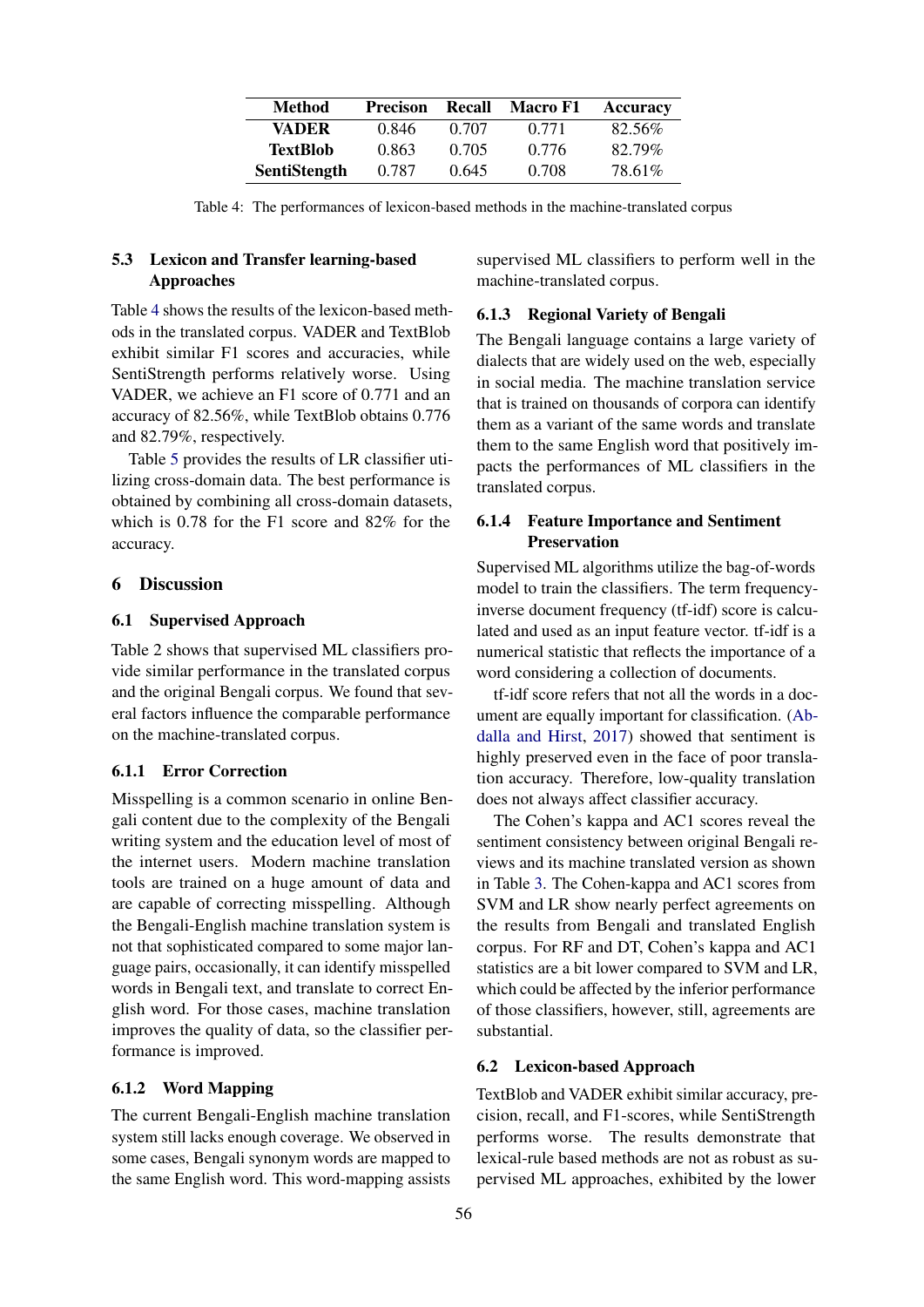<span id="page-6-0"></span>

| Method              | <b>Precison</b> | Recall | Macro F1 | Accuracy |
|---------------------|-----------------|--------|----------|----------|
| <b>VADER</b>        | 0.846           | 0.707  | 0.771    | 82.56%   |
| <b>TextBlob</b>     | 0.863           | 0.705  | 0.776    | 82.79%   |
| <b>SentiStength</b> | 0.787           | 0.645  | 0.708    | 78.61%   |

Table 4: The performances of lexicon-based methods in the machine-translated corpus

## 5.3 Lexicon and Transfer learning-based Approaches

Table [4](#page-6-0) shows the results of the lexicon-based methods in the translated corpus. VADER and TextBlob exhibit similar F1 scores and accuracies, while SentiStrength performs relatively worse. Using VADER, we achieve an F1 score of 0.771 and an accuracy of 82.56%, while TextBlob obtains 0.776 and 82.79%, respectively.

Table [5](#page-7-0) provides the results of LR classifier utilizing cross-domain data. The best performance is obtained by combining all cross-domain datasets, which is 0.78 for the F1 score and 82% for the accuracy.

## 6 Discussion

#### 6.1 Supervised Approach

Table 2 shows that supervised ML classifiers provide similar performance in the translated corpus and the original Bengali corpus. We found that several factors influence the comparable performance on the machine-translated corpus.

## 6.1.1 Error Correction

Misspelling is a common scenario in online Bengali content due to the complexity of the Bengali writing system and the education level of most of the internet users. Modern machine translation tools are trained on a huge amount of data and are capable of correcting misspelling. Although the Bengali-English machine translation system is not that sophisticated compared to some major language pairs, occasionally, it can identify misspelled words in Bengali text, and translate to correct English word. For those cases, machine translation improves the quality of data, so the classifier performance is improved.

#### 6.1.2 Word Mapping

The current Bengali-English machine translation system still lacks enough coverage. We observed in some cases, Bengali synonym words are mapped to the same English word. This word-mapping assists

supervised ML classifiers to perform well in the machine-translated corpus.

### 6.1.3 Regional Variety of Bengali

The Bengali language contains a large variety of dialects that are widely used on the web, especially in social media. The machine translation service that is trained on thousands of corpora can identify them as a variant of the same words and translate them to the same English word that positively impacts the performances of ML classifiers in the translated corpus.

## 6.1.4 Feature Importance and Sentiment Preservation

Supervised ML algorithms utilize the bag-of-words model to train the classifiers. The term frequencyinverse document frequency (tf-idf) score is calculated and used as an input feature vector. tf-idf is a numerical statistic that reflects the importance of a word considering a collection of documents.

tf-idf score refers that not all the words in a document are equally important for classification. [\(Ab](#page-8-3)[dalla and Hirst,](#page-8-3) [2017\)](#page-8-3) showed that sentiment is highly preserved even in the face of poor translation accuracy. Therefore, low-quality translation does not always affect classifier accuracy.

The Cohen's kappa and AC1 scores reveal the sentiment consistency between original Bengali reviews and its machine translated version as shown in Table [3.](#page-5-2) The Cohen-kappa and AC1 scores from SVM and LR show nearly perfect agreements on the results from Bengali and translated English corpus. For RF and DT, Cohen's kappa and AC1 statistics are a bit lower compared to SVM and LR, which could be affected by the inferior performance of those classifiers, however, still, agreements are substantial.

## 6.2 Lexicon-based Approach

TextBlob and VADER exhibit similar accuracy, precision, recall, and F1-scores, while SentiStrength performs worse. The results demonstrate that lexical-rule based methods are not as robust as supervised ML approaches, exhibited by the lower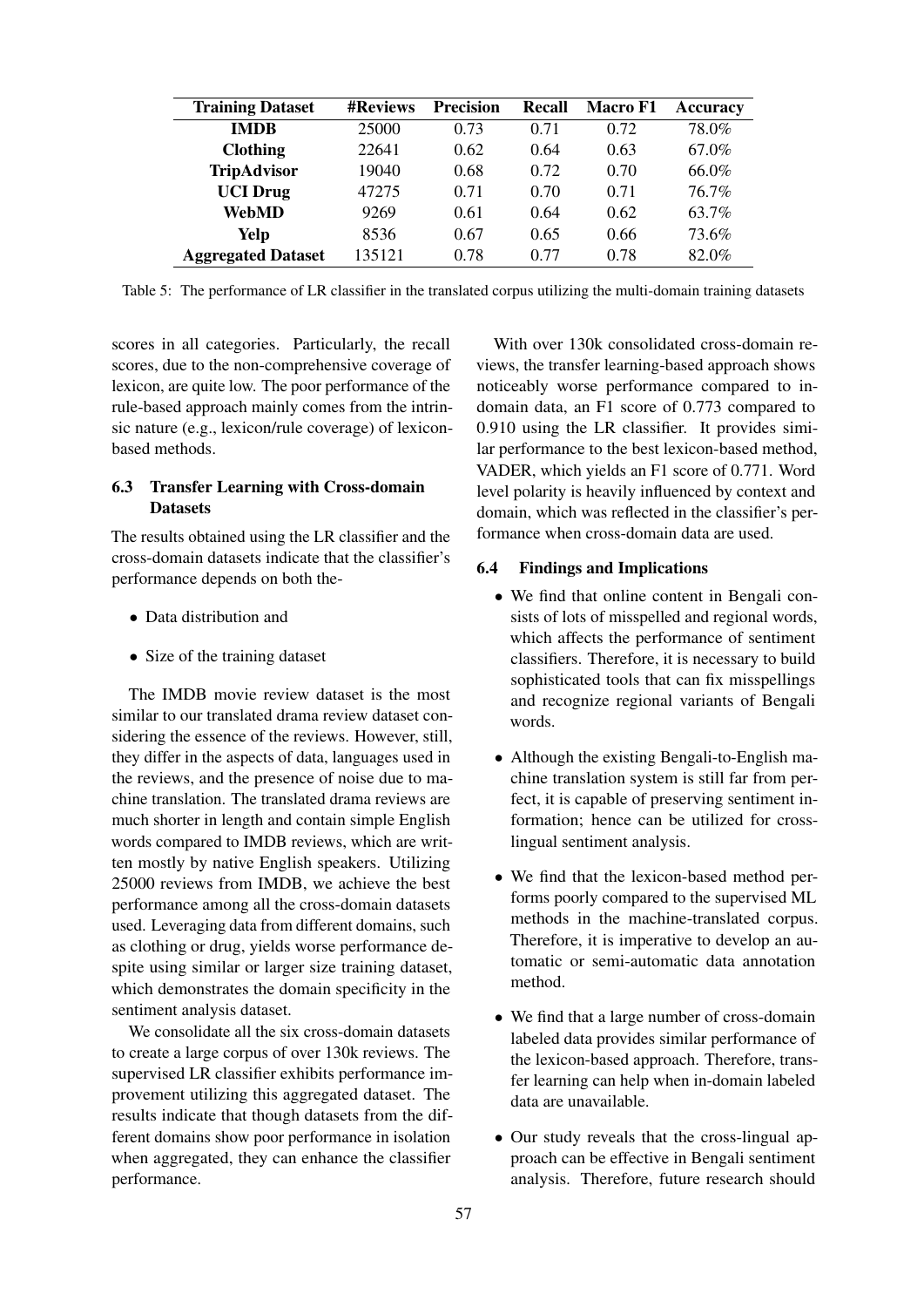<span id="page-7-0"></span>

| <b>Training Dataset</b>   | <b>#Reviews</b> | <b>Precision</b> | <b>Recall</b> | <b>Macro F1</b> | Accuracy |
|---------------------------|-----------------|------------------|---------------|-----------------|----------|
| <b>IMDB</b>               | 25000           | 0.73             | 0.71          | 0.72            | 78.0%    |
| <b>Clothing</b>           | 22641           | 0.62             | 0.64          | 0.63            | 67.0%    |
| <b>TripAdvisor</b>        | 19040           | 0.68             | 0.72          | 0.70            | 66.0%    |
| <b>UCI</b> Drug           | 47275           | 0.71             | 0.70          | 0.71            | 76.7%    |
| <b>WebMD</b>              | 9269            | 0.61             | 0.64          | 0.62            | 63.7%    |
| Yelp                      | 8536            | 0.67             | 0.65          | 0.66            | 73.6%    |
| <b>Aggregated Dataset</b> | 135121          | 0.78             | 0.77          | 0.78            | 82.0%    |

Table 5: The performance of LR classifier in the translated corpus utilizing the multi-domain training datasets

scores in all categories. Particularly, the recall scores, due to the non-comprehensive coverage of lexicon, are quite low. The poor performance of the rule-based approach mainly comes from the intrinsic nature (e.g., lexicon/rule coverage) of lexiconbased methods.

## 6.3 Transfer Learning with Cross-domain **Datasets**

The results obtained using the LR classifier and the cross-domain datasets indicate that the classifier's performance depends on both the-

- Data distribution and
- Size of the training dataset

The IMDB movie review dataset is the most similar to our translated drama review dataset considering the essence of the reviews. However, still, they differ in the aspects of data, languages used in the reviews, and the presence of noise due to machine translation. The translated drama reviews are much shorter in length and contain simple English words compared to IMDB reviews, which are written mostly by native English speakers. Utilizing 25000 reviews from IMDB, we achieve the best performance among all the cross-domain datasets used. Leveraging data from different domains, such as clothing or drug, yields worse performance despite using similar or larger size training dataset, which demonstrates the domain specificity in the sentiment analysis dataset.

We consolidate all the six cross-domain datasets to create a large corpus of over 130k reviews. The supervised LR classifier exhibits performance improvement utilizing this aggregated dataset. The results indicate that though datasets from the different domains show poor performance in isolation when aggregated, they can enhance the classifier performance.

With over 130k consolidated cross-domain reviews, the transfer learning-based approach shows noticeably worse performance compared to indomain data, an F1 score of 0.773 compared to 0.910 using the LR classifier. It provides similar performance to the best lexicon-based method, VADER, which yields an F1 score of 0.771. Word level polarity is heavily influenced by context and domain, which was reflected in the classifier's performance when cross-domain data are used.

### 6.4 Findings and Implications

- We find that online content in Bengali consists of lots of misspelled and regional words, which affects the performance of sentiment classifiers. Therefore, it is necessary to build sophisticated tools that can fix misspellings and recognize regional variants of Bengali words.
- Although the existing Bengali-to-English machine translation system is still far from perfect, it is capable of preserving sentiment information; hence can be utilized for crosslingual sentiment analysis.
- We find that the lexicon-based method performs poorly compared to the supervised ML methods in the machine-translated corpus. Therefore, it is imperative to develop an automatic or semi-automatic data annotation method.
- We find that a large number of cross-domain labeled data provides similar performance of the lexicon-based approach. Therefore, transfer learning can help when in-domain labeled data are unavailable.
- Our study reveals that the cross-lingual approach can be effective in Bengali sentiment analysis. Therefore, future research should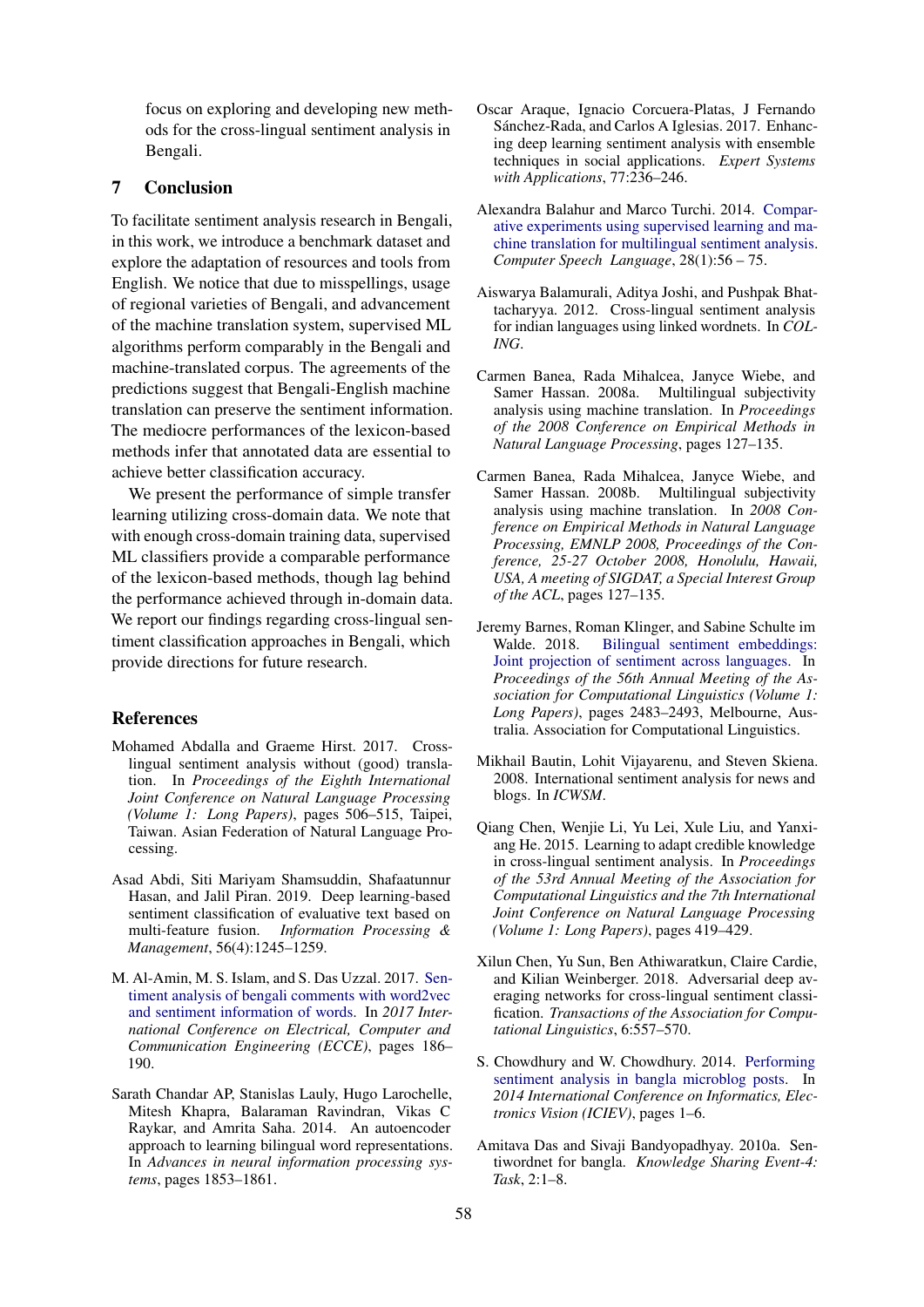focus on exploring and developing new methods for the cross-lingual sentiment analysis in Bengali.

## 7 Conclusion

To facilitate sentiment analysis research in Bengali, in this work, we introduce a benchmark dataset and explore the adaptation of resources and tools from English. We notice that due to misspellings, usage of regional varieties of Bengali, and advancement of the machine translation system, supervised ML algorithms perform comparably in the Bengali and machine-translated corpus. The agreements of the predictions suggest that Bengali-English machine translation can preserve the sentiment information. The mediocre performances of the lexicon-based methods infer that annotated data are essential to achieve better classification accuracy.

We present the performance of simple transfer learning utilizing cross-domain data. We note that with enough cross-domain training data, supervised ML classifiers provide a comparable performance of the lexicon-based methods, though lag behind the performance achieved through in-domain data. We report our findings regarding cross-lingual sentiment classification approaches in Bengali, which provide directions for future research.

### References

- <span id="page-8-3"></span>Mohamed Abdalla and Graeme Hirst. 2017. Crosslingual sentiment analysis without (good) translation. In *Proceedings of the Eighth International Joint Conference on Natural Language Processing (Volume 1: Long Papers)*, pages 506–515, Taipei, Taiwan. Asian Federation of Natural Language Processing.
- <span id="page-8-0"></span>Asad Abdi, Siti Mariyam Shamsuddin, Shafaatunnur Hasan, and Jalil Piran. 2019. Deep learning-based sentiment classification of evaluative text based on multi-feature fusion. *Information Processing & Management*, 56(4):1245–1259.
- <span id="page-8-10"></span>M. Al-Amin, M. S. Islam, and S. Das Uzzal. 2017. [Sen](https://doi.org/10.1109/ECACE.2017.7912903)[timent analysis of bengali comments with word2vec](https://doi.org/10.1109/ECACE.2017.7912903) [and sentiment information of words.](https://doi.org/10.1109/ECACE.2017.7912903) In *2017 International Conference on Electrical, Computer and Communication Engineering (ECCE)*, pages 186– 190.
- <span id="page-8-6"></span>Sarath Chandar AP, Stanislas Lauly, Hugo Larochelle, Mitesh Khapra, Balaraman Ravindran, Vikas C Raykar, and Amrita Saha. 2014. An autoencoder approach to learning bilingual word representations. In *Advances in neural information processing systems*, pages 1853–1861.
- <span id="page-8-1"></span>Oscar Araque, Ignacio Corcuera-Platas, J Fernando Sánchez-Rada, and Carlos A Iglesias. 2017. Enhancing deep learning sentiment analysis with ensemble techniques in social applications. *Expert Systems with Applications*, 77:236–246.
- <span id="page-8-4"></span>Alexandra Balahur and Marco Turchi. 2014. [Compar](https://doi.org/https://doi.org/10.1016/j.csl.2013.03.004)[ative experiments using supervised learning and ma](https://doi.org/https://doi.org/10.1016/j.csl.2013.03.004)[chine translation for multilingual sentiment analysis.](https://doi.org/https://doi.org/10.1016/j.csl.2013.03.004) *Computer Speech Language*, 28(1):56 – 75.
- <span id="page-8-11"></span>Aiswarya Balamurali, Aditya Joshi, and Pushpak Bhattacharyya. 2012. Cross-lingual sentiment analysis for indian languages using linked wordnets. In *COL-ING*.
- <span id="page-8-2"></span>Carmen Banea, Rada Mihalcea, Janyce Wiebe, and Samer Hassan. 2008a. Multilingual subjectivity analysis using machine translation. In *Proceedings of the 2008 Conference on Empirical Methods in Natural Language Processing*, pages 127–135.
- <span id="page-8-7"></span>Carmen Banea, Rada Mihalcea, Janyce Wiebe, and Samer Hassan. 2008b. Multilingual subjectivity analysis using machine translation. In *2008 Conference on Empirical Methods in Natural Language Processing, EMNLP 2008, Proceedings of the Conference, 25-27 October 2008, Honolulu, Hawaii, USA, A meeting of SIGDAT, a Special Interest Group of the ACL*, pages 127–135.
- <span id="page-8-5"></span>Jeremy Barnes, Roman Klinger, and Sabine Schulte im Walde. 2018. [Bilingual sentiment embeddings:](https://doi.org/10.18653/v1/P18-1231) [Joint projection of sentiment across languages.](https://doi.org/10.18653/v1/P18-1231) In *Proceedings of the 56th Annual Meeting of the Association for Computational Linguistics (Volume 1: Long Papers)*, pages 2483–2493, Melbourne, Australia. Association for Computational Linguistics.
- <span id="page-8-14"></span>Mikhail Bautin, Lohit Vijayarenu, and Steven Skiena. 2008. International sentiment analysis for news and blogs. In *ICWSM*.
- <span id="page-8-12"></span>Qiang Chen, Wenjie Li, Yu Lei, Xule Liu, and Yanxiang He. 2015. Learning to adapt credible knowledge in cross-lingual sentiment analysis. In *Proceedings of the 53rd Annual Meeting of the Association for Computational Linguistics and the 7th International Joint Conference on Natural Language Processing (Volume 1: Long Papers)*, pages 419–429.
- <span id="page-8-13"></span>Xilun Chen, Yu Sun, Ben Athiwaratkun, Claire Cardie, and Kilian Weinberger. 2018. Adversarial deep averaging networks for cross-lingual sentiment classification. *Transactions of the Association for Computational Linguistics*, 6:557–570.
- <span id="page-8-9"></span>S. Chowdhury and W. Chowdhury. 2014. [Performing](https://doi.org/10.1109/ICIEV.2014.6850712) [sentiment analysis in bangla microblog posts.](https://doi.org/10.1109/ICIEV.2014.6850712) In *2014 International Conference on Informatics, Electronics Vision (ICIEV)*, pages 1–6.
- <span id="page-8-8"></span>Amitava Das and Sivaji Bandyopadhyay. 2010a. Sentiwordnet for bangla. *Knowledge Sharing Event-4: Task*, 2:1–8.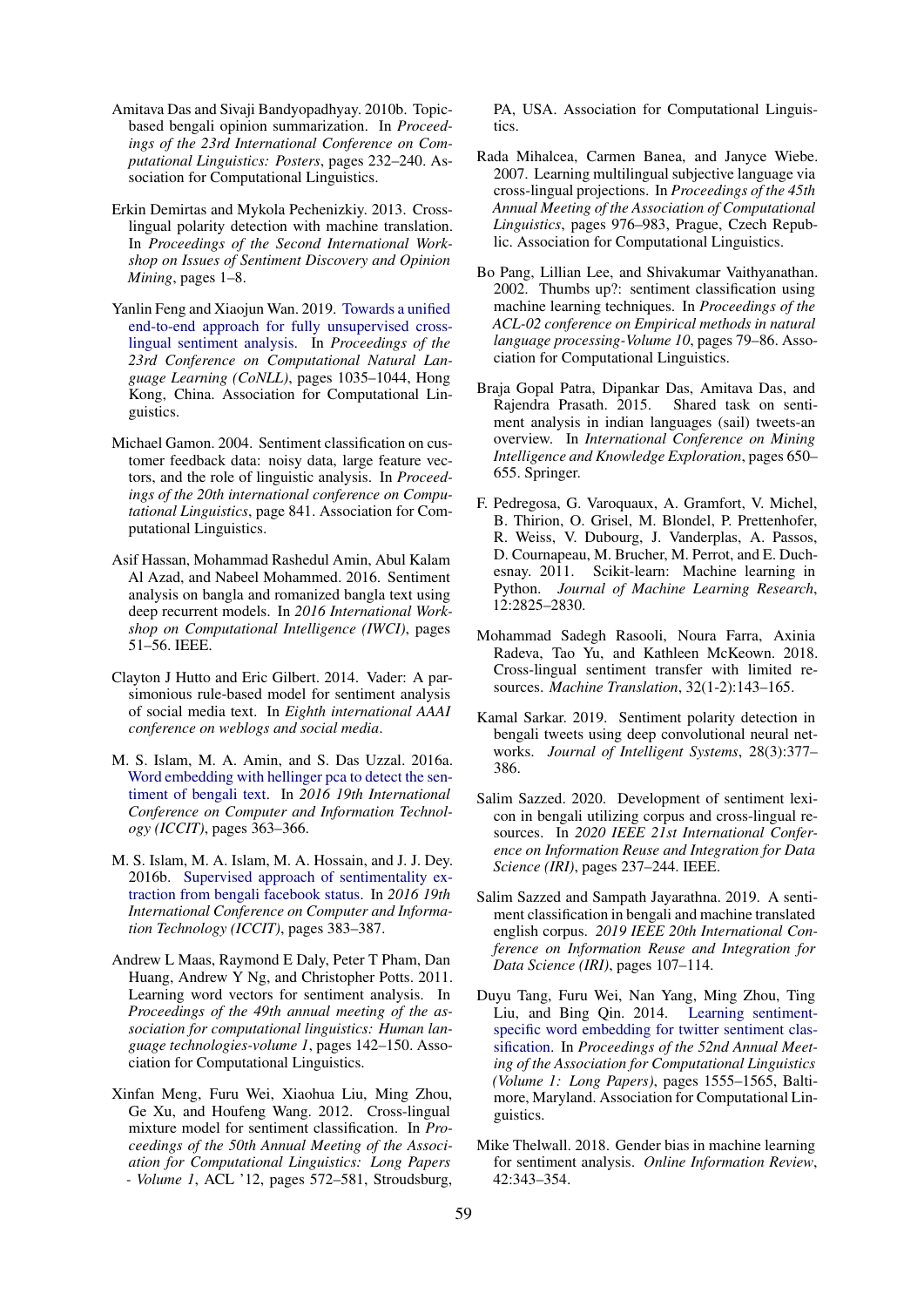- <span id="page-9-9"></span>Amitava Das and Sivaji Bandyopadhyay. 2010b. Topicbased bengali opinion summarization. In *Proceedings of the 23rd International Conference on Computational Linguistics: Posters*, pages 232–240. Association for Computational Linguistics.
- <span id="page-9-2"></span>Erkin Demirtas and Mykola Pechenizkiy. 2013. Crosslingual polarity detection with machine translation. In *Proceedings of the Second International Workshop on Issues of Sentiment Discovery and Opinion Mining*, pages 1–8.
- <span id="page-9-15"></span>Yanlin Feng and Xiaojun Wan. 2019. [Towards a unified](https://doi.org/10.18653/v1/K19-1097) [end-to-end approach for fully unsupervised cross](https://doi.org/10.18653/v1/K19-1097)[lingual sentiment analysis.](https://doi.org/10.18653/v1/K19-1097) In *Proceedings of the 23rd Conference on Computational Natural Language Learning (CoNLL)*, pages 1035–1044, Hong Kong, China. Association for Computational Linguistics.
- <span id="page-9-1"></span>Michael Gamon. 2004. Sentiment classification on customer feedback data: noisy data, large feature vectors, and the role of linguistic analysis. In *Proceedings of the 20th international conference on Computational Linguistics*, page 841. Association for Computational Linguistics.
- <span id="page-9-13"></span>Asif Hassan, Mohammad Rashedul Amin, Abul Kalam Al Azad, and Nabeel Mohammed. 2016. Sentiment analysis on bangla and romanized bangla text using deep recurrent models. In *2016 International Workshop on Computational Intelligence (IWCI)*, pages 51–56. IEEE.
- <span id="page-9-7"></span>Clayton J Hutto and Eric Gilbert. 2014. Vader: A parsimonious rule-based model for sentiment analysis of social media text. In *Eighth international AAAI conference on weblogs and social media*.
- <span id="page-9-12"></span>M. S. Islam, M. A. Amin, and S. Das Uzzal. 2016a. [Word embedding with hellinger pca to detect the sen](https://doi.org/10.1109/ICCITECHN.2016.7860224)[timent of bengali text.](https://doi.org/10.1109/ICCITECHN.2016.7860224) In *2016 19th International Conference on Computer and Information Technology (ICCIT)*, pages 363–366.
- <span id="page-9-10"></span>M. S. Islam, M. A. Islam, M. A. Hossain, and J. J. Dey. 2016b. [Supervised approach of sentimentality ex](https://doi.org/10.1109/ICCITECHN.2016.7860228)[traction from bengali facebook status.](https://doi.org/10.1109/ICCITECHN.2016.7860228) In *2016 19th International Conference on Computer and Information Technology (ICCIT)*, pages 383–387.
- <span id="page-9-18"></span>Andrew L Maas, Raymond E Daly, Peter T Pham, Dan Huang, Andrew Y Ng, and Christopher Potts. 2011. Learning word vectors for sentiment analysis. In *Proceedings of the 49th annual meeting of the association for computational linguistics: Human language technologies-volume 1*, pages 142–150. Association for Computational Linguistics.
- <span id="page-9-4"></span>Xinfan Meng, Furu Wei, Xiaohua Liu, Ming Zhou, Ge Xu, and Houfeng Wang. 2012. Cross-lingual mixture model for sentiment classification. In *Proceedings of the 50th Annual Meeting of the Association for Computational Linguistics: Long Papers - Volume 1*, ACL '12, pages 572–581, Stroudsburg,

PA, USA. Association for Computational Linguistics.

- <span id="page-9-14"></span>Rada Mihalcea, Carmen Banea, and Janyce Wiebe. 2007. Learning multilingual subjective language via cross-lingual projections. In *Proceedings of the 45th Annual Meeting of the Association of Computational Linguistics*, pages 976–983, Prague, Czech Republic. Association for Computational Linguistics.
- <span id="page-9-0"></span>Bo Pang, Lillian Lee, and Shivakumar Vaithyanathan. 2002. Thumbs up?: sentiment classification using machine learning techniques. In *Proceedings of the ACL-02 conference on Empirical methods in natural language processing-Volume 10*, pages 79–86. Association for Computational Linguistics.
- <span id="page-9-8"></span>Braja Gopal Patra, Dipankar Das, Amitava Das, and Rajendra Prasath. 2015. Shared task on sentiment analysis in indian languages (sail) tweets-an overview. In *International Conference on Mining Intelligence and Knowledge Exploration*, pages 650– 655. Springer.
- <span id="page-9-17"></span>F. Pedregosa, G. Varoquaux, A. Gramfort, V. Michel, B. Thirion, O. Grisel, M. Blondel, P. Prettenhofer, R. Weiss, V. Dubourg, J. Vanderplas, A. Passos, D. Cournapeau, M. Brucher, M. Perrot, and E. Duchesnay. 2011. Scikit-learn: Machine learning in Python. *Journal of Machine Learning Research*, 12:2825–2830.
- <span id="page-9-16"></span>Mohammad Sadegh Rasooli, Noura Farra, Axinia Radeva, Tao Yu, and Kathleen McKeown. 2018. Cross-lingual sentiment transfer with limited resources. *Machine Translation*, 32(1-2):143–165.
- <span id="page-9-11"></span>Kamal Sarkar. 2019. Sentiment polarity detection in bengali tweets using deep convolutional neural networks. *Journal of Intelligent Systems*, 28(3):377– 386.
- <span id="page-9-5"></span>Salim Sazzed. 2020. Development of sentiment lexicon in bengali utilizing corpus and cross-lingual resources. In *2020 IEEE 21st International Conference on Information Reuse and Integration for Data Science (IRI)*, pages 237–244. IEEE.
- <span id="page-9-6"></span>Salim Sazzed and Sampath Jayarathna. 2019. A sentiment classification in bengali and machine translated english corpus. *2019 IEEE 20th International Conference on Information Reuse and Integration for Data Science (IRI)*, pages 107–114.
- <span id="page-9-3"></span>Duyu Tang, Furu Wei, Nan Yang, Ming Zhou, Ting Liu, and Bing Qin. 2014. [Learning sentiment](https://doi.org/10.3115/v1/P14-1146)[specific word embedding for twitter sentiment clas](https://doi.org/10.3115/v1/P14-1146)[sification.](https://doi.org/10.3115/v1/P14-1146) In *Proceedings of the 52nd Annual Meeting of the Association for Computational Linguistics (Volume 1: Long Papers)*, pages 1555–1565, Baltimore, Maryland. Association for Computational Linguistics.
- <span id="page-9-19"></span>Mike Thelwall. 2018. Gender bias in machine learning for sentiment analysis. *Online Information Review*, 42:343–354.